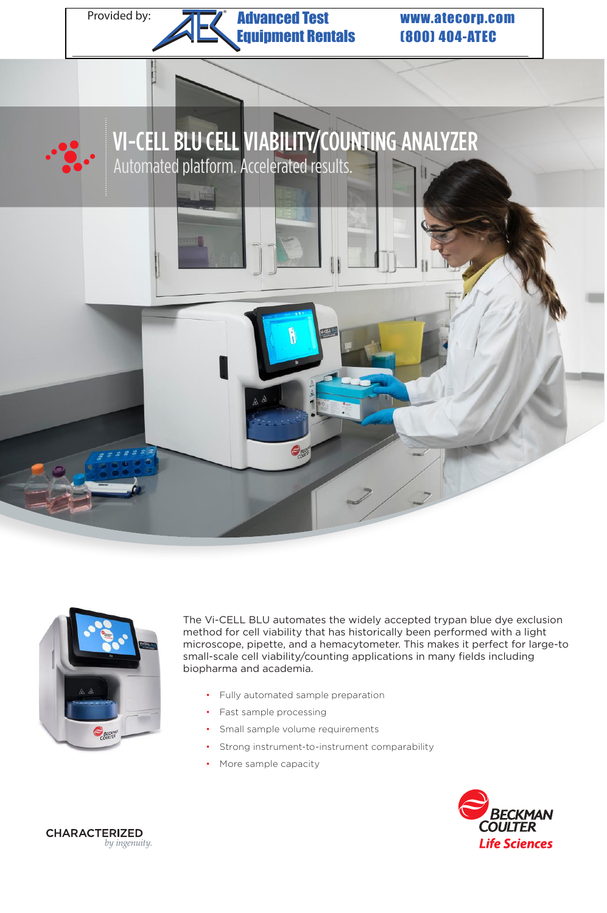

#### Provided by: **All Milliam Advanced Test www.atecorp.com** Advanced Test **Example 11** Figure 11 ®

(800) 404-ATEC





The Vi-CELL BLU automates the widely accepted trypan blue dye exclusion method for cell viability that has historically been performed with a light microscope, pipette, and a hemacytometer. This makes it perfect for large-to small-scale cell viability/counting applications in many fields including biopharma and academia.

- Fully automated sample preparation
- Fast sample processing
- Small sample volume requirements
- Strong instrument-to-instrument comparability
- More sample capacity



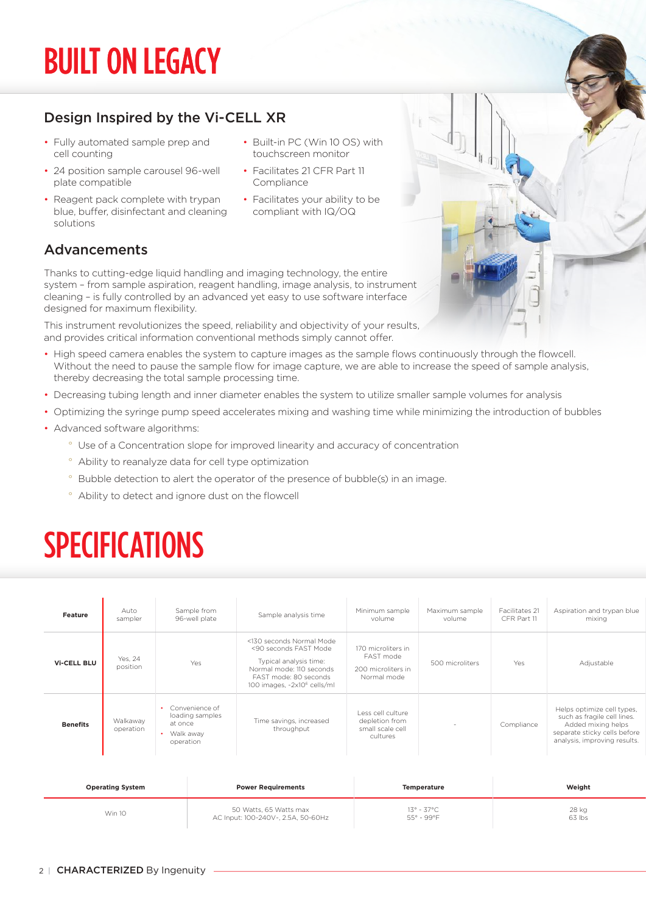# BUILT ON LEGACY

## Design Inspired by the Vi-CELL XR

- Fully automated sample prep and cell counting
- 24 position sample carousel 96-well plate compatible
- Reagent pack complete with trypan blue, buffer, disinfectant and cleaning solutions
- Built-in PC (Win 10 OS) with touchscreen monitor
- Facilitates 21 CFR Part 11 Compliance
- Facilitates your ability to be compliant with IQ/OQ

## Advancements

Thanks to cutting-edge liquid handling and imaging technology, the entire system – from sample aspiration, reagent handling, image analysis, to instrument cleaning – is fully controlled by an advanced yet easy to use software interface designed for maximum flexibility.

This instrument revolutionizes the speed, reliability and objectivity of your results, and provides critical information conventional methods simply cannot offer.

- High speed camera enables the system to capture images as the sample flows continuously through the flowcell. Without the need to pause the sample flow for image capture, we are able to increase the speed of sample analysis, thereby decreasing the total sample processing time.
- Decreasing tubing length and inner diameter enables the system to utilize smaller sample volumes for analysis
- Optimizing the syringe pump speed accelerates mixing and washing time while minimizing the introduction of bubbles
- Advanced software algorithms:
	- ° Use of a Concentration slope for improved linearity and accuracy of concentration
	- ° Ability to reanalyze data for cell type optimization
	- ° Bubble detection to alert the operator of the presence of bubble(s) in an image.
	- ° Ability to detect and ignore dust on the flowcell

## SPECIFICATIONS

| Feature            | Auto<br>sampler       | Sample from<br>96-well plate                                             | Sample analysis time                                                                                                                                                        | Minimum sample<br>volume                                             | Maximum sample<br>volume | Facilitates 21<br>CFR Part 11 | Aspiration and trypan blue<br>mixing                                                                                                            |
|--------------------|-----------------------|--------------------------------------------------------------------------|-----------------------------------------------------------------------------------------------------------------------------------------------------------------------------|----------------------------------------------------------------------|--------------------------|-------------------------------|-------------------------------------------------------------------------------------------------------------------------------------------------|
| <b>Vi-CELL BLU</b> | Yes, 24<br>position   | Yes                                                                      | <130 seconds Normal Mode<br><90 seconds FAST Mode<br>Typical analysis time:<br>Normal mode: 110 seconds<br>FAST mode: 80 seconds<br>100 images, ~2x10 <sup>6</sup> cells/ml | 170 microliters in<br>FAST mode<br>200 microliters in<br>Normal mode | 500 microliters          | Yes                           | Adjustable                                                                                                                                      |
| <b>Benefits</b>    | Walkaway<br>operation | • Convenience of<br>loading samples<br>at once<br>Walk away<br>operation | Time savings, increased<br>throughput                                                                                                                                       | Less cell culture<br>depletion from<br>small scale cell<br>cultures  |                          | Compliance                    | Helps optimize cell types,<br>such as fragile cell lines.<br>Added mixing helps<br>separate sticky cells before<br>analysis, improving results. |

| <b>Operating System</b> | <b>Power Requirements</b>          | <b>Temperature</b> | Weight |
|-------------------------|------------------------------------|--------------------|--------|
| Win 10                  | 50 Watts, 65 Watts max             | 13° - 37°C         | 28 kg  |
|                         | AC Input: 100-240V~, 2.5A, 50-60Hz | 55° - 99°F         | 63 lbs |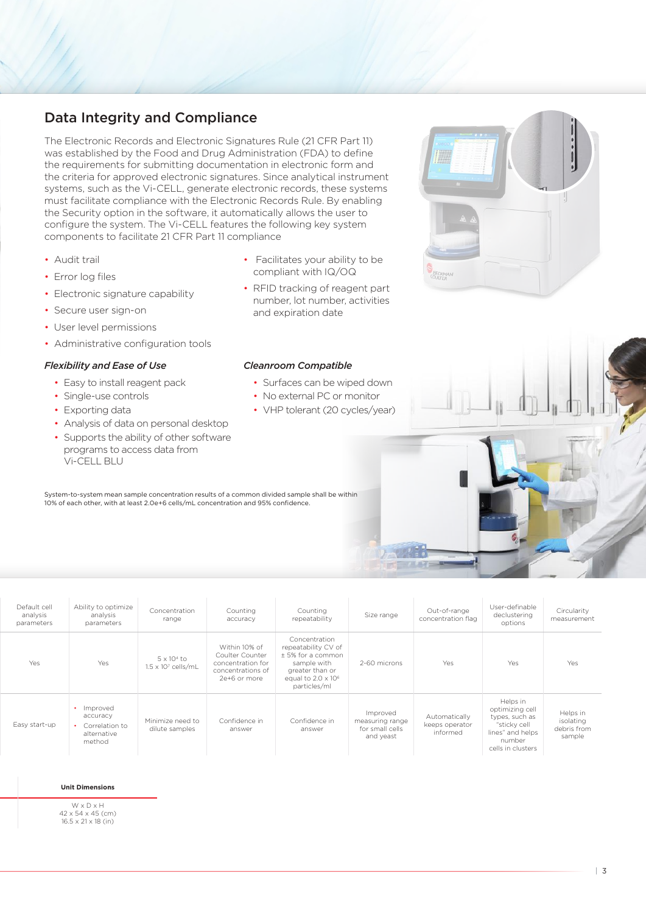The Electronic Records and Electronic Signatures Rule (21 CFR Part 11) was established by the Food and Drug Administration (FDA) to define the requirements for submitting documentation in electronic form and the criteria for approved electronic signatures. Since analytical instrument systems, such as the Vi-CELL, generate electronic records, these systems must facilitate compliance with the Electronic Records Rule. By enabling the Security option in the software, it automatically allows the user to configure the system. The Vi-CELL features the following key system components to facilitate 21 CFR Part 11 compliance

- Audit trail
- Error log files
- Electronic signature capability
- Secure user sign-on
- User level permissions
- Administrative configuration tools

### *Flexibility and Ease of Use*

- Easy to install reagent pack
- Single-use controls
- Exporting data
- Analysis of data on personal desktop • Supports the ability of other software
- programs to access data from Vi-CELL BLU
- Facilitates your ability to be compliant with IQ/OQ
- RFID tracking of reagent part number, lot number, activities and expiration date

#### *Cleanroom Compatible*

- Surfaces can be wiped down
- No external PC or monitor
- VHP tolerant (20 cycles/year)

 $-7442$ 

System-to-system mean sample concentration results of a common divided sample shall be within 10% of each other, with at least 2.0e+6 cells/mL concentration and 95% confidence.

| Default cell<br>analysis<br>parameters | Ability to optimize<br>analysis<br>parameters                     | Concentration<br>range                           | Counting<br>accuracy                                                                       | Counting<br>repeatability                                                                                                                 | Size range                                                  | Out-of-range<br>concentration flag          | User-definable<br>declustering<br>options                                                                        | Circularity<br>measurement                     |
|----------------------------------------|-------------------------------------------------------------------|--------------------------------------------------|--------------------------------------------------------------------------------------------|-------------------------------------------------------------------------------------------------------------------------------------------|-------------------------------------------------------------|---------------------------------------------|------------------------------------------------------------------------------------------------------------------|------------------------------------------------|
| Yes                                    | Yes                                                               | $5 \times 10^4$ to<br>$1.5 \times 10^7$ cells/mL | Within 10% of<br>Coulter Counter<br>concentration for<br>concentrations of<br>2e+6 or more | Concentration<br>repeatability CV of<br>± 5% for a common<br>sample with<br>greater than or<br>equal to $2.0 \times 10^6$<br>particles/ml | 2-60 microns                                                | Yes                                         | Yes                                                                                                              | Yes                                            |
| Easy start-up                          | • Improved<br>accuracy<br>Correlation to<br>alternative<br>method | Minimize need to<br>dilute samples               | Confidence in<br>answer                                                                    | Confidence in<br>answer                                                                                                                   | Improved<br>measuring range<br>for small cells<br>and yeast | Automatically<br>keeps operator<br>informed | Helps in<br>optimizing cell<br>types, such as<br>"sticky cell<br>lines" and helps<br>number<br>cells in clusters | Helps in<br>isolating<br>debris from<br>sample |

#### **Operating System Power Requirements Temperature Weight Unit Dimensions**

W x D x H 42 x 54 x 45 (cm) 16.5 x 21 x 18 (in)